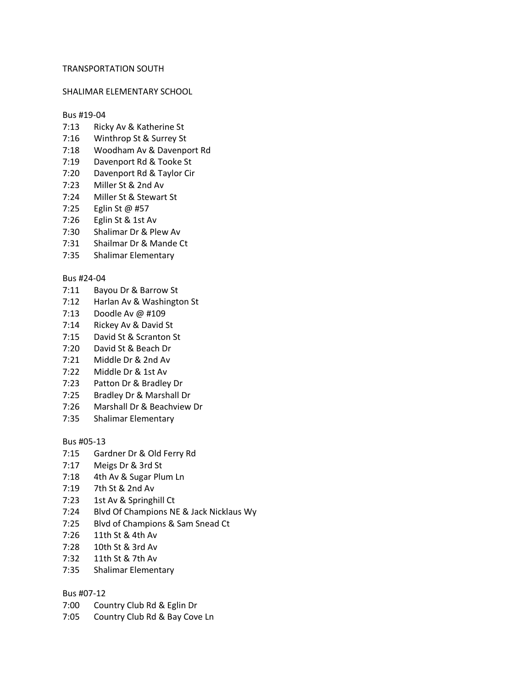# TRANSPORTATION SOUTH

# SHALIMAR ELEMENTARY SCHOOL

# Bus #19-04

- 7:13 Ricky Av & Katherine St
- 7:16 Winthrop St & Surrey St
- 7:18 Woodham Av & Davenport Rd
- 7:19 Davenport Rd & Tooke St
- 7:20 Davenport Rd & Taylor Cir
- 7:23 Miller St & 2nd Av
- 7:24 Miller St & Stewart St
- 7:25 Eglin St @ #57
- 7:26 Eglin St & 1st Av
- 7:30 Shalimar Dr & Plew Av
- 7:31 Shailmar Dr & Mande Ct
- 7:35 Shalimar Elementary

#### Bus #24-04

- 7:11 Bayou Dr & Barrow St
- 7:12 Harlan Av & Washington St
- 7:13 Doodle Av @ #109
- 7:14 Rickey Av & David St
- 7:15 David St & Scranton St
- 7:20 David St & Beach Dr
- 7:21 Middle Dr & 2nd Av
- 7:22 Middle Dr & 1st Av
- 7:23 Patton Dr & Bradley Dr
- 7:25 Bradley Dr & Marshall Dr
- 7:26 Marshall Dr & Beachview Dr
- 7:35 Shalimar Elementary

# Bus #05-13

- 7:15 Gardner Dr & Old Ferry Rd
- 7:17 Meigs Dr & 3rd St
- 7:18 4th Av & Sugar Plum Ln
- 7:19 7th St & 2nd Av
- 7:23 1st Av & Springhill Ct
- 7:24 Blvd Of Champions NE & Jack Nicklaus Wy
- 7:25 Blvd of Champions & Sam Snead Ct
- 7:26 11th St & 4th Av
- 7:28 10th St & 3rd Av
- 7:32 11th St & 7th Av
- 7:35 Shalimar Elementary

#### Bus #07-12

- 7:00 Country Club Rd & Eglin Dr
- 7:05 Country Club Rd & Bay Cove Ln